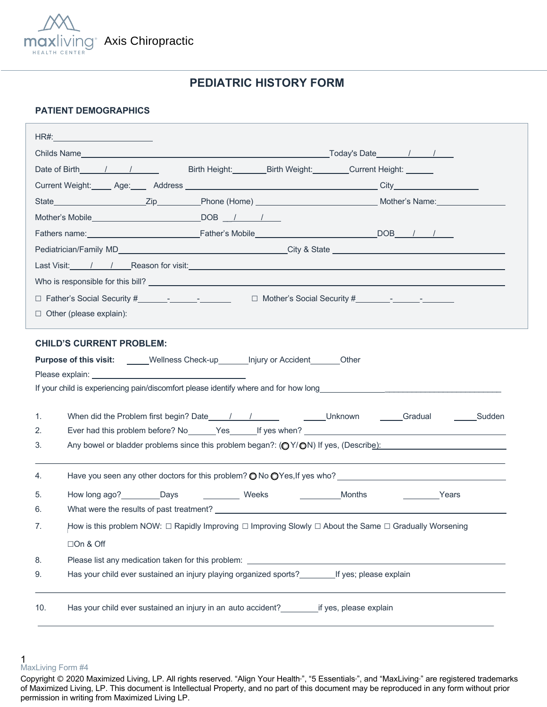

# **PEDIATRIC HISTORY FORM**

### **PATIENT DEMOGRAPHICS**

|                                          | Date of Birth 1 / / Birth Height: Birth Weight: Current Height:                                        |        |                                                                                                                   |
|------------------------------------------|--------------------------------------------------------------------------------------------------------|--------|-------------------------------------------------------------------------------------------------------------------|
|                                          |                                                                                                        |        |                                                                                                                   |
|                                          |                                                                                                        |        |                                                                                                                   |
|                                          | Mother's Mobile DOB / / /                                                                              |        |                                                                                                                   |
|                                          |                                                                                                        |        |                                                                                                                   |
|                                          |                                                                                                        |        |                                                                                                                   |
|                                          |                                                                                                        |        |                                                                                                                   |
|                                          |                                                                                                        |        |                                                                                                                   |
|                                          |                                                                                                        |        |                                                                                                                   |
| $\Box$ Other (please explain):           |                                                                                                        |        |                                                                                                                   |
|                                          |                                                                                                        |        |                                                                                                                   |
| <b>CHILD'S CURRENT PROBLEM:</b>          |                                                                                                        |        |                                                                                                                   |
|                                          | Purpose of this visit: _____Wellness Check-up_______Injury or Accident_______Other                     |        |                                                                                                                   |
|                                          |                                                                                                        |        |                                                                                                                   |
|                                          |                                                                                                        |        |                                                                                                                   |
| 1.                                       |                                                                                                        |        |                                                                                                                   |
| 2.                                       |                                                                                                        |        |                                                                                                                   |
|                                          |                                                                                                        |        |                                                                                                                   |
| 3.                                       |                                                                                                        |        | Any bowel or bladder problems since this problem began?: $\left(\bigcirc Y/\bigcirc N\right)$ If yes, (Describe): |
| 4.                                       |                                                                                                        |        |                                                                                                                   |
|                                          |                                                                                                        |        |                                                                                                                   |
| How long ago? __________Days<br>5.<br>6. | Weeks                                                                                                  | Months | <b>Example 2</b> Years                                                                                            |
| 7.                                       |                                                                                                        |        |                                                                                                                   |
|                                          | How is this problem NOW: □ Rapidly Improving □ Improving Slowly □ About the Same □ Gradually Worsening |        |                                                                                                                   |
| □On & Off                                |                                                                                                        |        |                                                                                                                   |
| 8.<br>9.                                 |                                                                                                        |        |                                                                                                                   |
|                                          | Has your child ever sustained an injury playing organized sports? If yes; please explain               |        |                                                                                                                   |

<sup>1</sup>  MaxLiving Form #4

Copyright © 2020 Maximized Living, LP. All rights reserved. "Align Your Health<sup>™</sup>, "5 Essentials<sup>®</sup>, and "MaxLiving<sup>®</sup> are registered trademarks of Maximized Living, LP. This document is Intellectual Property, and no part of this document may be reproduced in any form without prior permission in writing from Maximized Living LP.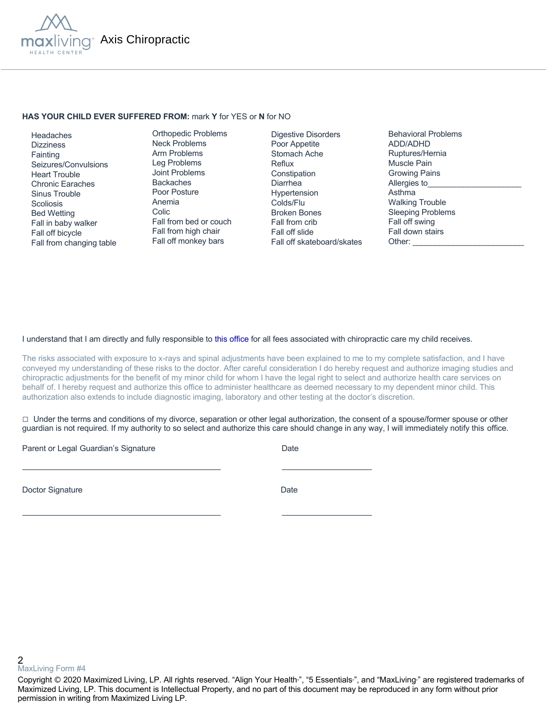

### **HAS YOUR CHILD EVER SUFFERED FROM:** mark **Y** for YES or **N** for NO

 Headaches **Dizziness Fainting**  Seizures/Convulsions Heart Trouble Chronic Earaches Sinus Trouble **Scoliosis**  Bed Wetting Fall in baby walker Fall off bicycle Fall from changing table

Orthopedic Problems Neck Problems Arm Problems Leg Problems Joint Problems Backaches Poor Posture Anemia Colic Fall from bed or couch Fall from high chair Fall off monkey bars

Digestive Disorders Poor Appetite Stomach Ache Reflux Constipation Diarrhea Hypertension Colds/Flu Broken Bones Fall from crib Fall off slide Fall off skateboard/skates Behavioral Problems ADD/ADHD Ruptures/Hernia Muscle Pain Growing Pains Allergies to Asthma Walking Trouble Sleeping Problems Fall off swing Fall down stairs Other:

#### I understand that I am directly and fully responsible to this office for all fees associated with chiropractic care my child receives.

The risks associated with exposure to x-rays and spinal adjustments have been explained to me to my complete satisfaction, and I have conveyed my understanding of these risks to the doctor. After careful consideration I do hereby request and authorize imaging studies and chiropractic adjustments for the benefit of my minor child for whom I have the legal right to select and authorize health care services on behalf of. I hereby request and authorize this office to administer healthcare as deemed necessary to my dependent minor child. This authorization also extends to include diagnostic imaging, laboratory and other testing at the doctor's discretion.

 $\Box$  Under the terms and conditions of my divorce, separation or other legal authorization, the consent of a spouse/former spouse or other guardian is not required. If my authority to so select and authorize this care should change in any way, I will immediately notify this office.

Parent or Legal Guardian's Signature Date Date

Doctor Signature Date

2 MaxLiving Form #4

Copyright © 2020 Maximized Living, LP. All rights reserved. "Align Your Health<sub>"</sub>, "5 Essentials<sub>"</sub>, and "MaxLiving<sub>"</sub> are registered trademarks of Maximized Living, LP. This document is Intellectual Property, and no part of this document may be reproduced in any form without prior permission in writing from Maximized Living LP.